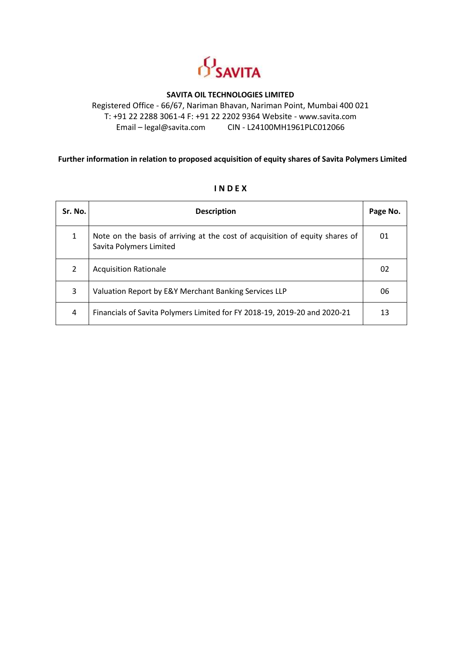

#### **SAVITA OIL TECHNOLOGIES LIMITED**

Registered Office - 66/67, Nariman Bhavan, Nariman Point, Mumbai 400 021 T: +91 22 2288 3061-4 F: +91 22 2202 9364 Website - [www.savita.com](http://www.savita.com/) Email – [legal@savita.com](mailto:legal@savita.com) CIN - L24100MH1961PLC012066

#### **Further information in relation to proposed acquisition of equity shares of Savita Polymers Limited**

| Sr. No. | <b>Description</b>                                                                                      | Page No. |
|---------|---------------------------------------------------------------------------------------------------------|----------|
| 1       | Note on the basis of arriving at the cost of acquisition of equity shares of<br>Savita Polymers Limited | 01       |
| 2       | <b>Acquisition Rationale</b>                                                                            | 02       |
| 3       | Valuation Report by E&Y Merchant Banking Services LLP                                                   | 06       |
| 4       | Financials of Savita Polymers Limited for FY 2018-19, 2019-20 and 2020-21                               | 13       |

#### **I N D E X**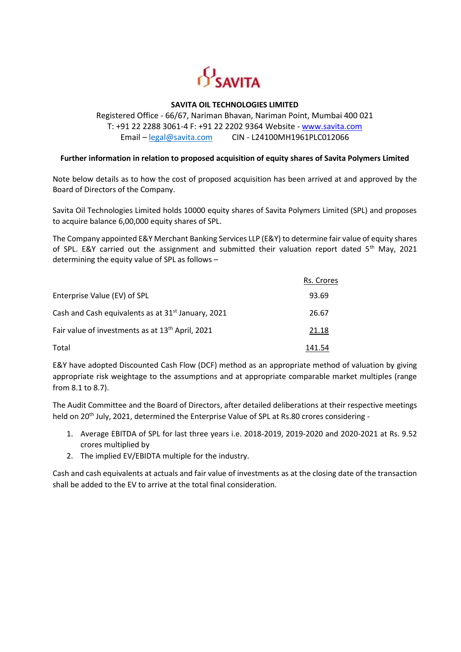

#### **SAVITA OIL TECHNOLOGIES LIMITED**

#### Registered Office - 66/67, Nariman Bhavan, Nariman Point, Mumbai 400 021 T: +91 22 2288 3061-4 F: +91 22 2202 9364 Website - [www.savita.com](http://www.savita.com/) Email – [legal@savita.com](mailto:legal@savita.com) CIN - L24100MH1961PLC012066

#### **Further information in relation to proposed acquisition of equity shares of Savita Polymers Limited**

Note below details as to how the cost of proposed acquisition has been arrived at and approved by the Board of Directors of the Company.

Savita Oil Technologies Limited holds 10000 equity shares of Savita Polymers Limited (SPL) and proposes to acquire balance 6,00,000 equity shares of SPL.

The Company appointed E&Y Merchant Banking Services LLP (E&Y) to determine fair value of equity shares of SPL. E&Y carried out the assignment and submitted their valuation report dated 5<sup>th</sup> May, 2021 determining the equity value of SPL as follows –

|                                                                | Rs. Crores |
|----------------------------------------------------------------|------------|
| Enterprise Value (EV) of SPL                                   | 93.69      |
| Cash and Cash equivalents as at 31 <sup>st</sup> January, 2021 | 26.67      |
| Fair value of investments as at 13 <sup>th</sup> April, 2021   | 21.18      |
| Total                                                          | 141.54     |

E&Y have adopted Discounted Cash Flow (DCF) method as an appropriate method of valuation by giving appropriate risk weightage to the assumptions and at appropriate comparable market multiples (range from 8.1 to 8.7).

The Audit Committee and the Board of Directors, after detailed deliberations at their respective meetings held on 20<sup>th</sup> July, 2021, determined the Enterprise Value of SPL at Rs.80 crores considering -

- 1. Average EBITDA of SPL for last three years i.e. 2018-2019, 2019-2020 and 2020-2021 at Rs. 9.52 crores multiplied by
- 2. The implied EV/EBIDTA multiple for the industry.

Cash and cash equivalents at actuals and fair value of investments as at the closing date of the transaction shall be added to the EV to arrive at the total final consideration.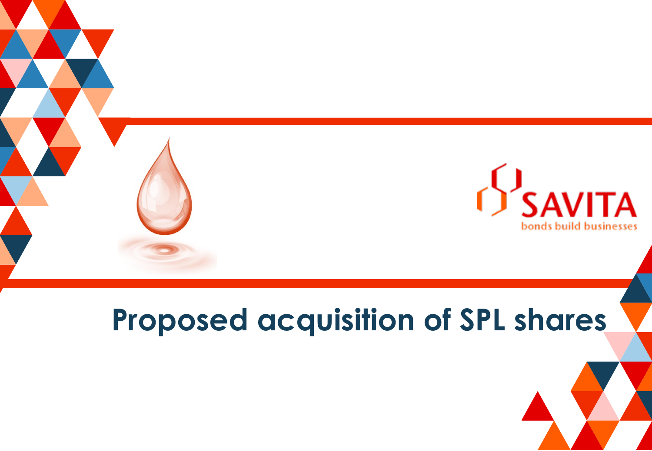

# **Proposed acquisition of SPL shares**

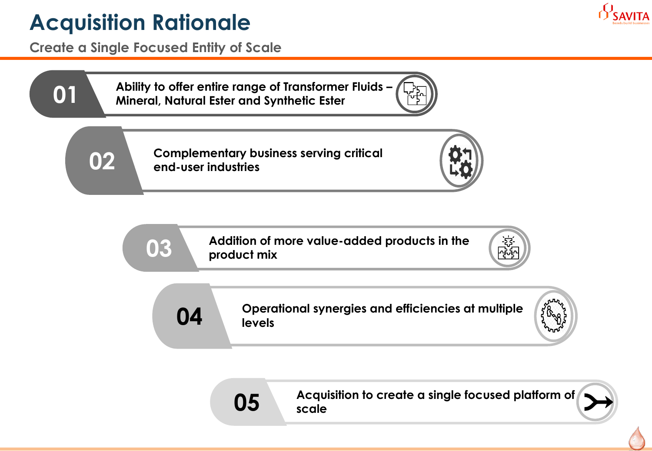## **Acquisition Rationale**

**Create a Single Focused Entity of Scale**

**Ability to offer entire range of Transformer Fluids – Mineral, Natural Ester and Synthetic Ester**

**Complementary business serving critical end-user industries**

**Addition of more value-added products in the product mix**







**Acquisition to create a single focused platform of scale**



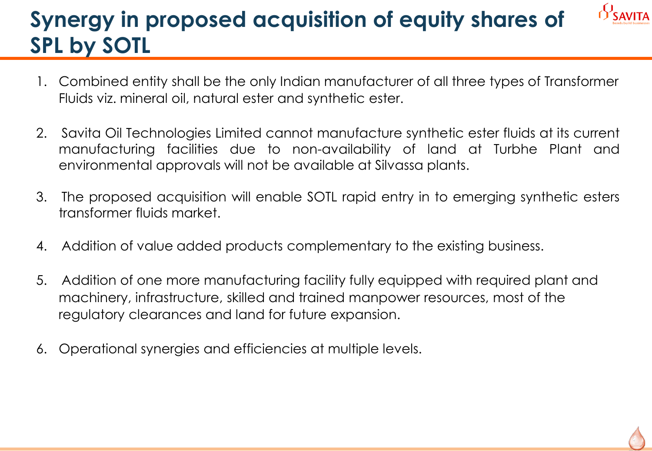## **Synergy in proposed acquisition of equity shares of SPL by SOTL**

- 1. Combined entity shall be the only Indian manufacturer of all three types of Transformer Fluids viz. mineral oil, natural ester and synthetic ester.
- 2. Savita Oil Technologies Limited cannot manufacture synthetic ester fluids at its current manufacturing facilities due to non-availability of land at Turbhe Plant and environmental approvals will not be available at Silvassa plants.
- 3. The proposed acquisition will enable SOTL rapid entry in to emerging synthetic esters transformer fluids market.
- 4. Addition of value added products complementary to the existing business.
- 5. Addition of one more manufacturing facility fully equipped with required plant and machinery, infrastructure, skilled and trained manpower resources, most of the regulatory clearances and land for future expansion.
- 6. Operational synergies and efficiencies at multiple levels.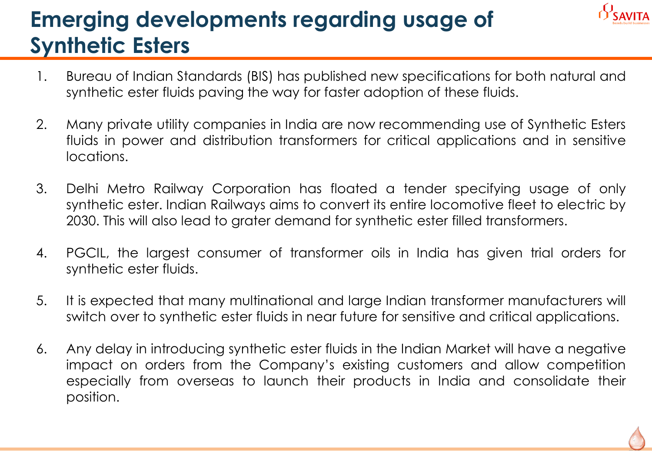## **Emerging developments regarding usage of Synthetic Esters**

- 1. Bureau of Indian Standards (BIS) has published new specifications for both natural and synthetic ester fluids paving the way for faster adoption of these fluids.
- 2. Many private utility companies in India are now recommending use of Synthetic Esters fluids in power and distribution transformers for critical applications and in sensitive locations.
- 3. Delhi Metro Railway Corporation has floated a tender specifying usage of only synthetic ester. Indian Railways aims to convert its entire locomotive fleet to electric by 2030. This will also lead to grater demand for synthetic ester filled transformers.
- 4. PGCIL, the largest consumer of transformer oils in India has given trial orders for synthetic ester fluids.
- 5. It is expected that many multinational and large Indian transformer manufacturers will switch over to synthetic ester fluids in near future for sensitive and critical applications.
- 6. Any delay in introducing synthetic ester fluids in the Indian Market will have a negative impact on orders from the Company's existing customers and allow competition especially from overseas to launch their products in India and consolidate their position.

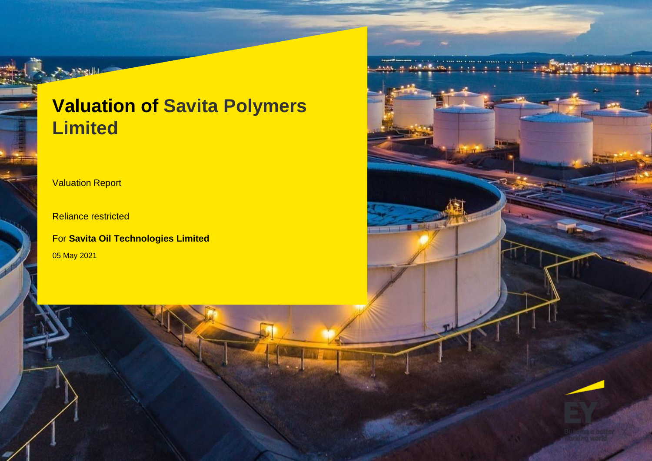## **Valuation of Savita Polymers Limited**

**TERRIT ST** 

**Valuation Report** 

Reliance restricted

05 May 2021 For **Savita Oil Technologies Limited**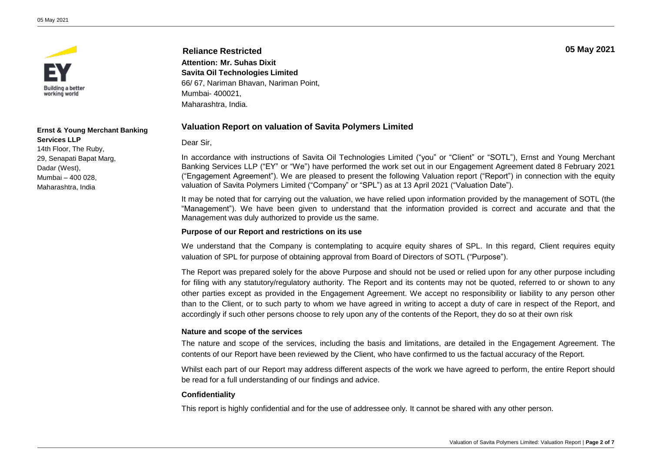

#### **Ernst & Young Merchant Banking Services LLP**

14th Floor, The Ruby, 29, Senapati Bapat Marg, Dadar (West), Mumbai – 400 028, Maharashtra, India

**Reliance Restricted Attention: Mr. Suhas Dixit Savita Oil Technologies Limited** 66/ 67, Nariman Bhavan, Nariman Point, Mumbai- 400021, Maharashtra, India.

#### **Valuation Report on valuation of Savita Polymers Limited**

#### Dear Sir,

In accordance with instructions of Savita Oil Technologies Limited ("you" or "Client" or "SOTL"), Ernst and Young Merchant Banking Services LLP ("EY" or "We") have performed the work set out in our Engagement Agreement dated 8 February 2021 ("Engagement Agreement"). We are pleased to present the following Valuation report ("Report") in connection with the equity valuation of Savita Polymers Limited ("Company" or "SPL") as at 13 April 2021 ("Valuation Date").

It may be noted that for carrying out the valuation, we have relied upon information provided by the management of SOTL (the "Management"). We have been given to understand that the information provided is correct and accurate and that the Management was duly authorized to provide us the same.

#### **Purpose of our Report and restrictions on its use**

We understand that the Company is contemplating to acquire equity shares of SPL. In this regard, Client requires equity valuation of SPL for purpose of obtaining approval from Board of Directors of SOTL ("Purpose").

The Report was prepared solely for the above Purpose and should not be used or relied upon for any other purpose including for filing with any statutory/regulatory authority. The Report and its contents may not be quoted, referred to or shown to any other parties except as provided in the Engagement Agreement. We accept no responsibility or liability to any person other than to the Client, or to such party to whom we have agreed in writing to accept a duty of care in respect of the Report, and accordingly if such other persons choose to rely upon any of the contents of the Report, they do so at their own risk

#### **Nature and scope of the services**

The nature and scope of the services, including the basis and limitations, are detailed in the Engagement Agreement. The contents of our Report have been reviewed by the Client, who have confirmed to us the factual accuracy of the Report.

Whilst each part of our Report may address different aspects of the work we have agreed to perform, the entire Report should be read for a full understanding of our findings and advice.

#### **Confidentiality**

This report is highly confidential and for the use of addressee only. It cannot be shared with any other person.

**05 May 2021**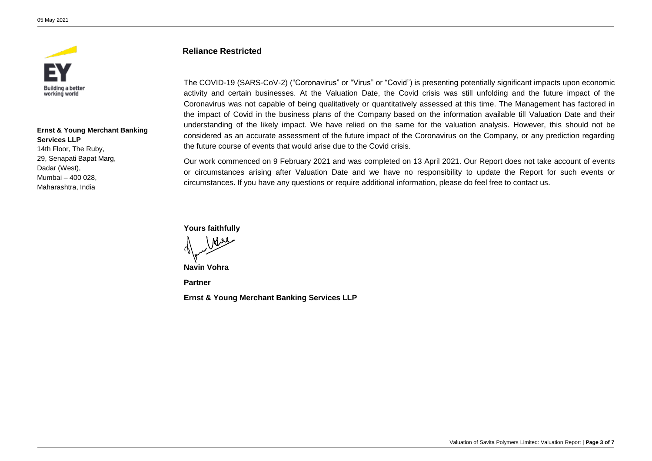

**Ernst & Young Merchant Banking Services LLP** 14th Floor, The Ruby, 29, Senapati Bapat Marg, Dadar (West), Mumbai – 400 028, Maharashtra, India

#### **Reliance Restricted**

The COVID-19 (SARS-CoV-2) ("Coronavirus" or "Virus" or "Covid") is presenting potentially significant impacts upon economic activity and certain businesses. At the Valuation Date, the Covid crisis was still unfolding and the future impact of the Coronavirus was not capable of being qualitatively or quantitatively assessed at this time. The Management has factored in the impact of Covid in the business plans of the Company based on the information available till Valuation Date and their understanding of the likely impact. We have relied on the same for the valuation analysis. However, this should not be considered as an accurate assessment of the future impact of the Coronavirus on the Company, or any prediction regarding the future course of events that would arise due to the Covid crisis.

Our work commenced on 9 February 2021 and was completed on 13 April 2021. Our Report does not take account of events or circumstances arising after Valuation Date and we have no responsibility to update the Report for such events or circumstances. If you have any questions or require additional information, please do feel free to contact us.

**Yours faithfully**

MM

**Navin Vohra**

**Partner**

**Ernst & Young Merchant Banking Services LLP**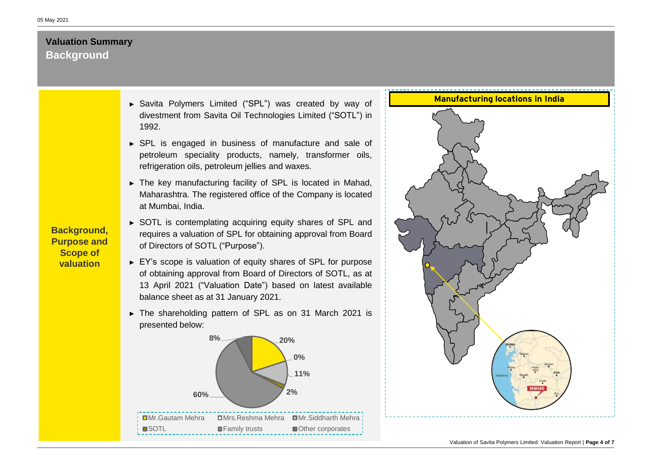### **Background Valuation Summary**

- ► Savita Polymers Limited ("SPL") was created by way of divestment from Savita Oil Technologies Limited ("SOTL") in 1992.
- ► SPL is engaged in business of manufacture and sale of petroleum speciality products, namely, transformer oils, refrigeration oils, petroleum jellies and waxes.
- ► The key manufacturing facility of SPL is located in Mahad, Maharashtra. The registered office of the Company is located at Mumbai, India.
- ► SOTL is contemplating acquiring equity shares of SPL and requires a valuation of SPL for obtaining approval from Board of Directors of SOTL ("Purpose").
- ► EY's scope is valuation of equity shares of SPL for purpose of obtaining approval from Board of Directors of SOTL, as at 13 April 2021 ("Valuation Date") based on latest available balance sheet as at 31 January 2021.
- ► The shareholding pattern of SPL as on 31 March 2021 is presented below:





**Background, Purpose and Scope of valuation**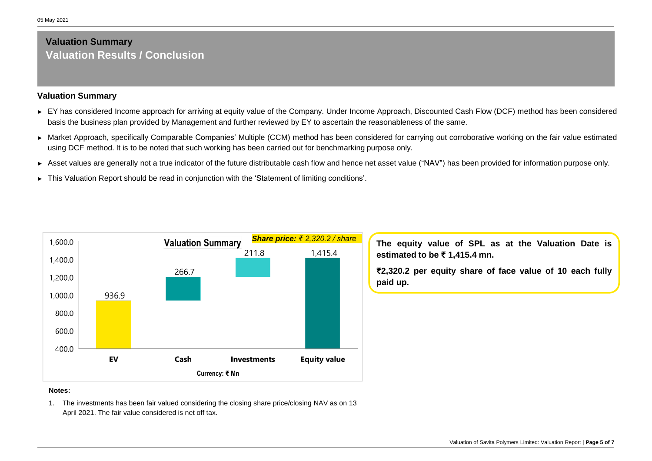### **Valuation Results / Conclusion Valuation Summary**

#### **Valuation Summary**

- ► EY has considered Income approach for arriving at equity value of the Company. Under Income Approach, Discounted Cash Flow (DCF) method has been considered basis the business plan provided by Management and further reviewed by EY to ascertain the reasonableness of the same.
- ► Market Approach, specifically Comparable Companies' Multiple (CCM) method has been considered for carrying out corroborative working on the fair value estimated using DCF method. It is to be noted that such working has been carried out for benchmarking purpose only.
- ► Asset values are generally not a true indicator of the future distributable cash flow and hence net asset value ("NAV") has been provided for information purpose only.
- ► This Valuation Report should be read in conjunction with the 'Statement of limiting conditions'.



*Share price: ₹ 2,320.2 / share* **The equity value of SPL as at the Valuation Date is estimated to be ₹ 1,415.4 mn.**

> **₹2,320.2 per equity share of face value of 10 each fully paid up.**

#### **Notes:**

1. The investments has been fair valued considering the closing share price/closing NAV as on 13 April 2021. The fair value considered is net off tax.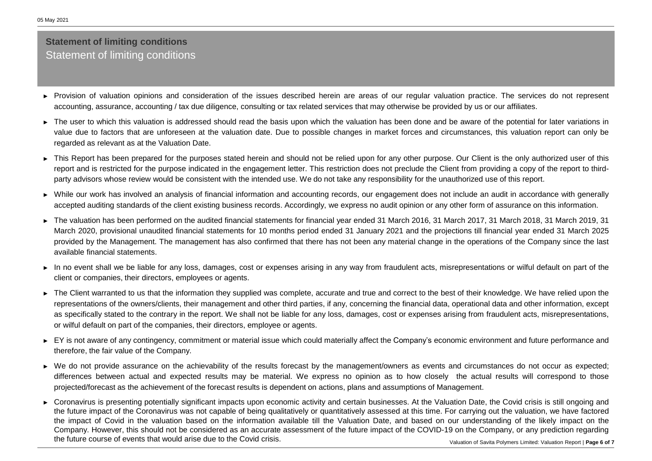### **Statement of limiting conditions** Statement of limiting conditions

- ► Provision of valuation opinions and consideration of the issues described herein are areas of our regular valuation practice. The services do not represent accounting, assurance, accounting / tax due diligence, consulting or tax related services that may otherwise be provided by us or our affiliates.
- ► The user to which this valuation is addressed should read the basis upon which the valuation has been done and be aware of the potential for later variations in value due to factors that are unforeseen at the valuation date. Due to possible changes in market forces and circumstances, this valuation report can only be regarded as relevant as at the Valuation Date.
- ► This Report has been prepared for the purposes stated herein and should not be relied upon for any other purpose. Our Client is the only authorized user of this report and is restricted for the purpose indicated in the engagement letter. This restriction does not preclude the Client from providing a copy of the report to thirdparty advisors whose review would be consistent with the intended use. We do not take any responsibility for the unauthorized use of this report.
- ► While our work has involved an analysis of financial information and accounting records, our engagement does not include an audit in accordance with generally accepted auditing standards of the client existing business records. Accordingly, we express no audit opinion or any other form of assurance on this information.
- ► The valuation has been performed on the audited financial statements for financial year ended 31 March 2016, 31 March 2017, 31 March 2018, 31 March 2019, 31 March 2020, provisional unaudited financial statements for 10 months period ended 31 January 2021 and the projections till financial year ended 31 March 2025 provided by the Management. The management has also confirmed that there has not been any material change in the operations of the Company since the last available financial statements.
- ► In no event shall we be liable for any loss, damages, cost or expenses arising in any way from fraudulent acts, misrepresentations or wilful default on part of the client or companies, their directors, employees or agents.
- ► The Client warranted to us that the information they supplied was complete, accurate and true and correct to the best of their knowledge. We have relied upon the representations of the owners/clients, their management and other third parties, if any, concerning the financial data, operational data and other information, except as specifically stated to the contrary in the report. We shall not be liable for any loss, damages, cost or expenses arising from fraudulent acts, misrepresentations, or wilful default on part of the companies, their directors, employee or agents.
- ► EY is not aware of any contingency, commitment or material issue which could materially affect the Company's economic environment and future performance and therefore, the fair value of the Company.
- ► We do not provide assurance on the achievability of the results forecast by the management/owners as events and circumstances do not occur as expected; differences between actual and expected results may be material. We express no opinion as to how closely the actual results will correspond to those projected/forecast as the achievement of the forecast results is dependent on actions, plans and assumptions of Management.
- ► Coronavirus is presenting potentially significant impacts upon economic activity and certain businesses. At the Valuation Date, the Covid crisis is still ongoing and the future impact of the Coronavirus was not capable of being qualitatively or quantitatively assessed at this time. For carrying out the valuation, we have factored the impact of Covid in the valuation based on the information available till the Valuation Date, and based on our understanding of the likely impact on the Company. However, this should not be considered as an accurate assessment of the future impact of the COVID-19 on the Company, or any prediction regarding the future course of events that would arise due to the Covid crisis.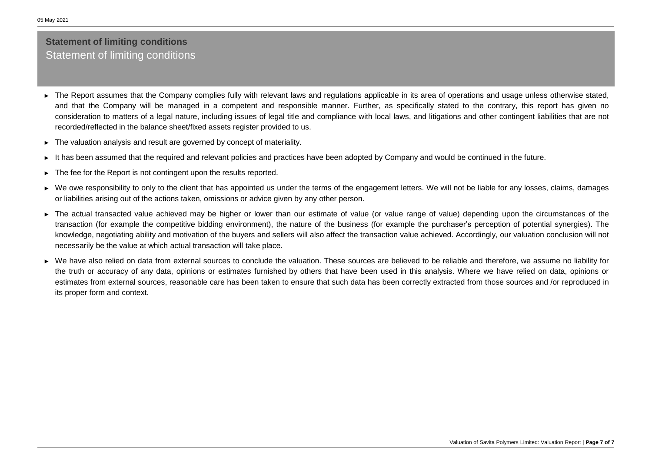### **Statement of limiting conditions** Statement of limiting conditions

- ► The Report assumes that the Company complies fully with relevant laws and regulations applicable in its area of operations and usage unless otherwise stated, and that the Company will be managed in a competent and responsible manner. Further, as specifically stated to the contrary, this report has given no consideration to matters of a legal nature, including issues of legal title and compliance with local laws, and litigations and other contingent liabilities that are not recorded/reflected in the balance sheet/fixed assets register provided to us.
- ► The valuation analysis and result are governed by concept of materiality.
- ► It has been assumed that the required and relevant policies and practices have been adopted by Company and would be continued in the future.
- ► The fee for the Report is not contingent upon the results reported.
- ► We owe responsibility to only to the client that has appointed us under the terms of the engagement letters. We will not be liable for any losses, claims, damages or liabilities arising out of the actions taken, omissions or advice given by any other person.
- ► The actual transacted value achieved may be higher or lower than our estimate of value (or value range of value) depending upon the circumstances of the transaction (for example the competitive bidding environment), the nature of the business (for example the purchaser's perception of potential synergies). The knowledge, negotiating ability and motivation of the buyers and sellers will also affect the transaction value achieved. Accordingly, our valuation conclusion will not necessarily be the value at which actual transaction will take place.
- ► We have also relied on data from external sources to conclude the valuation. These sources are believed to be reliable and therefore, we assume no liability for the truth or accuracy of any data, opinions or estimates furnished by others that have been used in this analysis. Where we have relied on data, opinions or estimates from external sources, reasonable care has been taken to ensure that such data has been correctly extracted from those sources and /or reproduced in its proper form and context.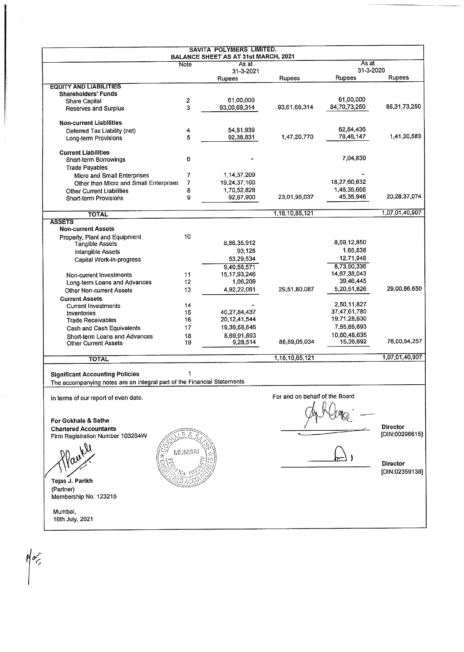|                                                                         |                | SAVITA POLYMERS LIMITED.<br><b>BALANCE SHEET AS AT 31st MARCH, 2021</b> |                                |               |                 |
|-------------------------------------------------------------------------|----------------|-------------------------------------------------------------------------|--------------------------------|---------------|-----------------|
|                                                                         | Note           | As at                                                                   |                                | As at         |                 |
|                                                                         |                | 31-3-2021                                                               |                                | 31-3-2020     | Rupees          |
| <b>EQUITY AND LIABILITIES</b>                                           |                | <b>Rupees</b>                                                           | <b>Rupees</b>                  | <b>Rupees</b> |                 |
| <b>Shareholders' Funds</b>                                              |                |                                                                         |                                |               |                 |
| <b>Share Capital</b>                                                    | 2              | 61,00,000                                                               |                                | 61,00,000     |                 |
| Reserves and Surplus                                                    | 3              | 93,00,69,314                                                            | 93,61,69,314                   | 84,70,73,250  | 85.31.73,250    |
|                                                                         |                |                                                                         |                                |               |                 |
| <b>Non-current Liabilities</b>                                          |                |                                                                         |                                |               |                 |
| Deferred Tax Liability (net)                                            | 4              | 54,81,939                                                               |                                | 62,84,436     |                 |
| Long-term Provisions                                                    | 5              | 92,38,831                                                               | 1,47,20,770                    | 78,46,147     | 1.41,30,583     |
| <b>Current Liabilities</b>                                              |                |                                                                         |                                |               |                 |
| Short-term Borrowings                                                   | 6              |                                                                         |                                | 7,04,830      |                 |
| <b>Trade Payables</b>                                                   |                |                                                                         |                                |               |                 |
| Micro and Small Enterprises                                             | 7              | 1,14,37,209                                                             |                                |               |                 |
| Other than Micro and Small Enterprises                                  | $\overline{7}$ | 19,24,37,100                                                            |                                | 18,27,60,632  |                 |
|                                                                         | 8              | 1,70,52,828                                                             |                                | 1,48,35,666   |                 |
| <b>Other Current Liabilities</b><br>Short-term Provisions               | 9              | 92,67,900                                                               | 23,01,95.037                   | 45,35,946     | 20,28,37,074    |
|                                                                         |                |                                                                         |                                |               |                 |
| <b>TOTAL</b>                                                            |                |                                                                         | 1,18,10,85,121                 |               | 1,07,01,40,907  |
| <b>ASSETS</b>                                                           |                |                                                                         |                                |               |                 |
| <b>Non-current Assets</b>                                               |                |                                                                         |                                |               |                 |
| Property, Plant and Equipment                                           | 10             | 8,86,35,912                                                             |                                | 8,59,12,850   |                 |
| <b>Tangible Assets</b>                                                  |                |                                                                         |                                | 1,65,538      |                 |
| Intangible Assets                                                       |                | 93.125                                                                  |                                |               |                 |
| Capital Work-in-progress                                                |                | 53,29,534                                                               |                                | 12,71,948     |                 |
|                                                                         |                | 9,40,58,571                                                             |                                | 8,73,50,336   |                 |
| Non-current Investments                                                 | 11             | 15, 17, 93, 246                                                         |                                | 14,67,38,043  |                 |
| Long-term Loans and Advances                                            | 12             | 1,06,209                                                                |                                | 39,46,445     |                 |
| <b>Other Non-current Assets</b>                                         | 13             | 4,92,22,061                                                             | 29,51,80,087                   | 5,20,51,826   | 29,00,86,650    |
| <b>Current Assets</b>                                                   |                |                                                                         |                                |               |                 |
| <b>Current Investments</b>                                              | 14             |                                                                         |                                | 2,50,11,827   |                 |
| Inventories                                                             | 15             | 40,27,84,437                                                            |                                | 37,47,61,780  |                 |
| <b>Trade Receivables</b>                                                | 16             | 20, 12, 41, 544                                                         |                                | 19,71,28,630  |                 |
| Cash and Cash Equivalents                                               | 17             | 19,39,58,646                                                            |                                | 7,55,66,693   |                 |
| Short-term Loans and Advances                                           | 18             | 8,69,91,893                                                             |                                | 10,60,48,635  |                 |
| <b>Other Current Assets</b>                                             | 19             | 9,28,514                                                                | 88,59,05,034                   | 15,36,692     | 78,00,54,257    |
| <b>TOTAL</b>                                                            |                |                                                                         | 1,18,10,85,121                 |               | 1,07,01,40,907  |
|                                                                         |                |                                                                         |                                |               |                 |
| <b>Significant Accounting Policies</b>                                  |                |                                                                         |                                |               |                 |
| The accompanying notes are an integral part of the Financial Statements |                |                                                                         |                                |               |                 |
| In terms of our report of even date.                                    |                |                                                                         | For and on behalf of the Board |               |                 |
|                                                                         |                |                                                                         |                                |               |                 |
|                                                                         |                |                                                                         |                                |               |                 |
| For Gokhale & Sathe                                                     |                |                                                                         |                                |               |                 |
| <b>Chartered Accountants</b>                                            |                |                                                                         |                                |               | <b>Director</b> |
| Firm Registration Number 103264W                                        |                |                                                                         |                                |               | [DIN:00296615]  |
|                                                                         |                |                                                                         |                                |               |                 |
|                                                                         | MUMBA          |                                                                         |                                |               |                 |
|                                                                         |                |                                                                         |                                |               |                 |
|                                                                         |                |                                                                         |                                |               | Director        |
|                                                                         |                |                                                                         |                                |               | [DIN:02359138]  |
| Tejas J. Parikh                                                         |                |                                                                         |                                |               |                 |
| (Partner)                                                               |                |                                                                         |                                |               |                 |
| Membership No. 123215                                                   |                |                                                                         |                                |               |                 |
|                                                                         |                |                                                                         |                                |               |                 |
| Mumbai,                                                                 |                |                                                                         |                                |               |                 |
| 16th July, 2021                                                         |                |                                                                         |                                |               |                 |

 $M_{\sim}$ 

 $\hat{\vec{r}}$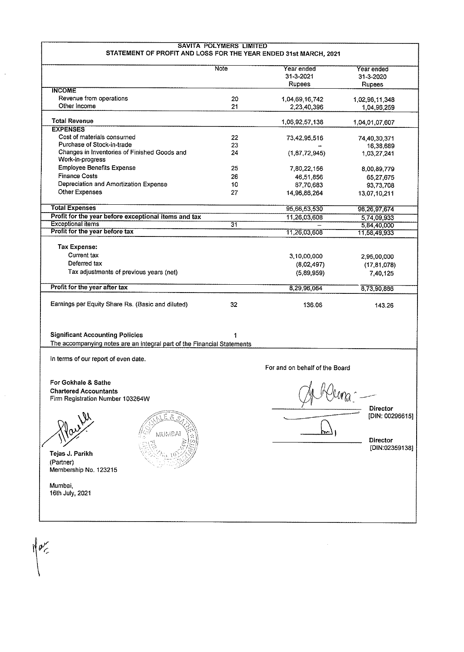|                                                                                                                   | Note | Year ended                     | Year ended                         |
|-------------------------------------------------------------------------------------------------------------------|------|--------------------------------|------------------------------------|
|                                                                                                                   |      | 31-3-2021                      | 31-3-2020                          |
| <b>INCOME</b>                                                                                                     |      | Rupees                         | <b>Rupees</b>                      |
| Revenue from operations                                                                                           | 20   | 1,04,69,16,742                 |                                    |
| Other Income                                                                                                      | 21   | 2,23,40,396                    | 1,02,96,11,348<br>1,04,96,259      |
|                                                                                                                   |      |                                |                                    |
| <b>Total Revenue</b>                                                                                              |      | 1,06,92,57,138                 | 1,04,01,07,607                     |
| <b>EXPENSES</b>                                                                                                   |      |                                |                                    |
| Cost of materials consumed                                                                                        | 22   | 73,42,95,516                   | 74,40,30,371                       |
| Purchase of Stock-in-trade<br>Changes in Inventories of Finished Goods and                                        | 23   |                                | 16,38,689                          |
| Work-in-progress                                                                                                  | 24   | (1, 87, 72, 945)               | 1,03,27,241                        |
| <b>Employee Benefits Expense</b>                                                                                  | 25   | 7,80,22,156                    | 8,00,89,779                        |
| <b>Finance Costs</b>                                                                                              | 26   | 46,51,856                      | 65,27,675                          |
| Depreciation and Amortization Expense                                                                             | 10   | 87,70,683                      | 93,73,708                          |
| Other Expenses                                                                                                    | 27   | 14,96,86,264                   | 13,07,10,211                       |
|                                                                                                                   |      |                                |                                    |
| <b>Total Expenses</b>                                                                                             |      | 95,66,53,530                   | 98,26,97,674                       |
| Profit for the year before exceptional items and tax                                                              |      | 11,26,03,608                   | 5,74,09,933                        |
| <b>Exceptional items</b>                                                                                          | 31   |                                | 5,84,40,000                        |
| Profit for the year before tax                                                                                    |      | 11,26,03,608                   | 11,58,49,933                       |
| Tax Expense:                                                                                                      |      |                                |                                    |
| <b>Current tax</b>                                                                                                |      | 3,10,00,000                    | 2.95,00,000                        |
| Deferred tax                                                                                                      |      | (8.02, 497)                    | (17, 81, 078)                      |
| Tax adjustments of previous years (net)                                                                           |      | (5.89, 959)                    | 7,40,125                           |
|                                                                                                                   |      |                                |                                    |
| Profit for the year after tax                                                                                     |      | 8,29,96,064                    | 8,73,90,886                        |
| Earnings per Equity Share Rs. (Basic and diluted)                                                                 | 32   | 136.06                         | 143.26                             |
| <b>Significant Accounting Policies</b><br>The accompanying notes are an integral part of the Financial Statements | 1    |                                |                                    |
|                                                                                                                   |      |                                |                                    |
| In terms of our report of even date.                                                                              |      |                                |                                    |
|                                                                                                                   |      | For and on behalf of the Board |                                    |
| For Gokhale & Sathe<br><b>Chartered Accountants</b><br>Firm Registration Number 103264W                           |      | Dema                           |                                    |
| ŝ,<br>r.                                                                                                          |      |                                | <b>Director</b><br>[DIN: 00296615] |
| MUMBAI                                                                                                            |      |                                | <b>Director</b>                    |
| Tejas J. Parikh<br>(Partner)<br>Membership No. 123215                                                             |      |                                | [DIN:02359138]                     |
| Mumbai,<br>16th July, 2021                                                                                        |      |                                |                                    |

 $\overline{\phantom{a}}$ 

 $\bar{\gamma}$ 

 $\int \rho \frac{1}{\sqrt{2\pi}}$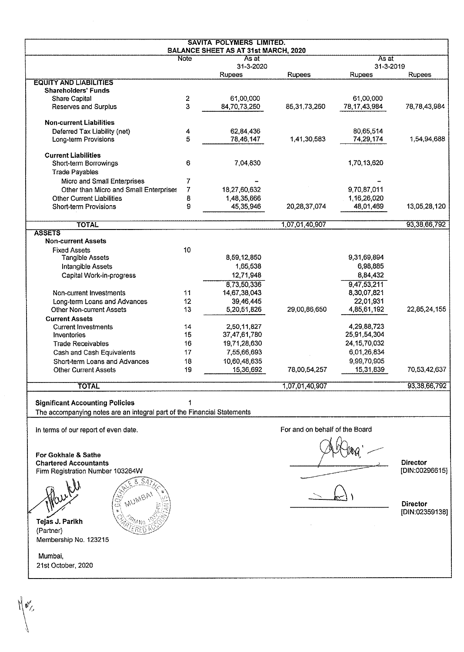|                                                                         |                         | <b>SAVITA POLYMERS LIMITED.</b><br><b>BALANCE SHEET AS AT 31st MARCH, 2020</b> |                                |                          |                 |
|-------------------------------------------------------------------------|-------------------------|--------------------------------------------------------------------------------|--------------------------------|--------------------------|-----------------|
|                                                                         | <b>Note</b>             | As at                                                                          |                                | As at                    |                 |
|                                                                         |                         | 31-3-2020                                                                      |                                | 31-3-2019                |                 |
| <b>EQUITY AND LIABILITIES</b>                                           |                         | Rupees                                                                         | <b>Rupees</b>                  | Rupees                   | <b>Rupees</b>   |
| <b>Shareholders' Funds</b>                                              |                         |                                                                                |                                |                          |                 |
| <b>Share Capital</b>                                                    | $\overline{\mathbf{c}}$ | 61,00,000                                                                      |                                | 61,00,000                |                 |
| <b>Reserves and Surplus</b>                                             | 3                       | 84,70,73,250                                                                   | 85, 31, 73, 250                | 78,17,43,984             | 78,78,43,984    |
| <b>Non-current Liabilities</b>                                          |                         |                                                                                |                                |                          |                 |
| Deferred Tax Liability (net)                                            | 4                       | 62,84,436                                                                      |                                | 80,65,514                |                 |
| Long-term Provisions                                                    | 5                       | 78,46,147                                                                      | 1,41,30,583                    | 74,29,174                | 1,54,94,688     |
| <b>Current Liabilities</b>                                              |                         |                                                                                |                                |                          |                 |
| Short-term Borrowings                                                   | 6                       | 7,04,830                                                                       |                                | 1,70,13,620              |                 |
| <b>Trade Payables</b>                                                   |                         |                                                                                |                                |                          |                 |
| Micro and Small Enterprises                                             | 7                       |                                                                                |                                |                          |                 |
| Other than Micro and Small Enterprises                                  | 7                       | 18,27,60,632                                                                   |                                | 9,70,87,011              |                 |
| <b>Other Current Liabilities</b>                                        | 8                       | 1,48,35,666                                                                    |                                | 1,16,26,020              |                 |
| Short-term Provisions                                                   | 9                       | 45,35,946                                                                      | 20,28,37,074                   | 48,01,469                | 13.05,28,120    |
|                                                                         |                         |                                                                                |                                |                          |                 |
| <b>TOTAL</b><br><b>ASSETS</b>                                           |                         |                                                                                | 1,07,01,40,907                 |                          | 93, 38, 66, 792 |
| <b>Non-current Assets</b>                                               |                         |                                                                                |                                |                          |                 |
| <b>Fixed Assets</b>                                                     | 10                      |                                                                                |                                |                          |                 |
| <b>Tangible Assets</b>                                                  |                         | 8,59,12,850                                                                    |                                | 9,31,69,894              |                 |
| Intangible Assets                                                       |                         | 1,65,538                                                                       |                                | 6,98,885                 |                 |
| Capital Work-in-progress                                                |                         | 12,71,948                                                                      |                                | 8,84,432                 |                 |
|                                                                         |                         | 8,73,50,336                                                                    |                                | 9,47,53,211              |                 |
| Non-current Investments                                                 | 11                      | 14,67,38,043                                                                   |                                | 8,30,07,821              |                 |
| Long-term Loans and Advances                                            | 12                      | 39,46,445                                                                      |                                | 22,01,931                |                 |
| <b>Other Non-current Assets</b>                                         | 13                      | 5,20,51,826                                                                    | 29,00,86,650                   | 4,85,61,192              | 22,85,24,155    |
| <b>Current Assets</b>                                                   |                         |                                                                                |                                |                          |                 |
| <b>Current Investments</b>                                              | 14                      | 2,50,11,827                                                                    |                                | 4,29,88,723              |                 |
| Inventories                                                             | 15                      | 37,47,61,780                                                                   |                                | 25,91,54,304             |                 |
| <b>Trade Receivables</b>                                                | 16                      | 19,71,28,630                                                                   |                                | 24, 15, 70, 032          |                 |
|                                                                         | 17                      | 7,55,66,693                                                                    |                                |                          |                 |
| Cash and Cash Equivalents                                               |                         |                                                                                |                                | 6,01,26,834              |                 |
| Short-term Loans and Advances<br><b>Other Current Assets</b>            | 18<br>19                | 10,60,48,635<br>15,36,692                                                      | 78,00,54,257                   | 9,99,70,905<br>15,31 839 | 70,53,42,637    |
|                                                                         |                         |                                                                                |                                |                          |                 |
| <b>TOTAL</b>                                                            |                         |                                                                                | 1,07,01,40,907                 |                          | 93,38,66,792    |
| <b>Significant Accounting Policies</b>                                  |                         |                                                                                |                                |                          |                 |
| The accompanying notes are an integral part of the Financial Statements |                         |                                                                                |                                |                          |                 |
| In terms of our report of even date.                                    |                         |                                                                                | For and on behalf of the Board |                          |                 |
|                                                                         |                         |                                                                                |                                |                          |                 |
| For Gokhale & Sathe                                                     |                         |                                                                                |                                |                          |                 |
| <b>Chartered Accountants</b>                                            |                         |                                                                                |                                |                          | <b>Director</b> |
| Firm Registration Number 103264W                                        |                         |                                                                                |                                |                          | [DIN:00296615]  |
|                                                                         |                         |                                                                                |                                |                          |                 |
|                                                                         |                         |                                                                                |                                |                          |                 |
|                                                                         |                         |                                                                                |                                |                          |                 |
| S                                                                       |                         |                                                                                |                                |                          | Director        |
| ķ                                                                       |                         |                                                                                |                                |                          | [DIN:02359138]  |
| Tejas J. Parikh                                                         |                         |                                                                                |                                |                          |                 |
| (Partner)                                                               |                         |                                                                                |                                |                          |                 |
| Membership No. 123215                                                   |                         |                                                                                |                                |                          |                 |
|                                                                         |                         |                                                                                |                                |                          |                 |
| Mumbai,                                                                 |                         |                                                                                |                                |                          |                 |

 $\bigwedge_{i=1}^{n} \mathfrak{g}_{\mathcal{N}_i}^{(i)}$ 

21st October, 2020